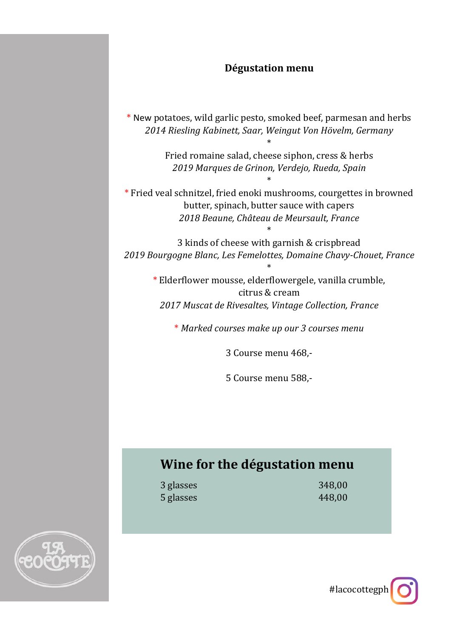### **Dégustation menu**

\* New potatoes, wild garlic pesto, smoked beef, parmesan and herbs *2014 Riesling Kabinett, Saar, Weingut Von Hövelm, Germany*

> Fried romaine salad, cheese siphon, cress & herbs *2019 Marques de Grinon, Verdejo, Rueda, Spain*

> > \*

\*

\* Fried veal schnitzel, fried enoki mushrooms, courgettes in browned butter, spinach, butter sauce with capers *2018 Beaune, Château de Meursault, France*

3 kinds of cheese with garnish & crispbread *2019 Bourgogne Blanc, Les Femelottes, Domaine Chavy-Chouet, France*

\*

\*

\* Elderflower mousse, elderflowergele, vanilla crumble, citrus & cream *2017 Muscat de Rivesaltes, Vintage Collection, France*

\* *Marked courses make up our 3 courses menu*

3 Course menu 468,-

5 Course menu 588,-

## **Wine for the dégustation menu**

3 glasses 348,00 5 glasses 448,00



#lacocottegph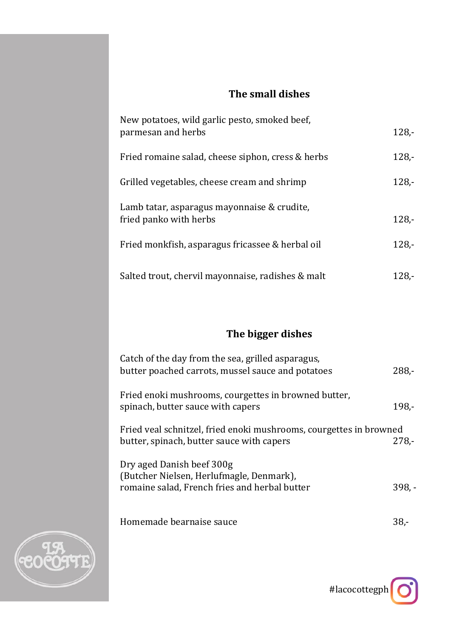### **The small dishes**

| New potatoes, wild garlic pesto, smoked beef,<br>parmesan and herbs   | $128 -$ |
|-----------------------------------------------------------------------|---------|
| Fried romaine salad, cheese siphon, cress & herbs                     | $128 -$ |
| Grilled vegetables, cheese cream and shrimp                           | $128 -$ |
| Lamb tatar, asparagus mayonnaise & crudite,<br>fried panko with herbs | $128 -$ |
| Fried monkfish, asparagus fricassee & herbal oil                      | $128 -$ |
| Salted trout, chervil mayonnaise, radishes & malt                     | 128.-   |

# **The bigger dishes**

| Catch of the day from the sea, grilled asparagus,<br>butter poached carrots, mussel sauce and potatoes                 | $288 -$  |
|------------------------------------------------------------------------------------------------------------------------|----------|
| Fried enoki mushrooms, courgettes in browned butter,<br>spinach, butter sauce with capers                              | $198. -$ |
| Fried veal schnitzel, fried enoki mushrooms, courgettes in browned<br>butter, spinach, butter sauce with capers        | $278. -$ |
| Dry aged Danish beef 300g<br>(Butcher Nielsen, Herlufmagle, Denmark),<br>romaine salad, French fries and herbal butter | $398. -$ |
| Homemade bearnaise sauce                                                                                               | 38       |



#lacocottegph